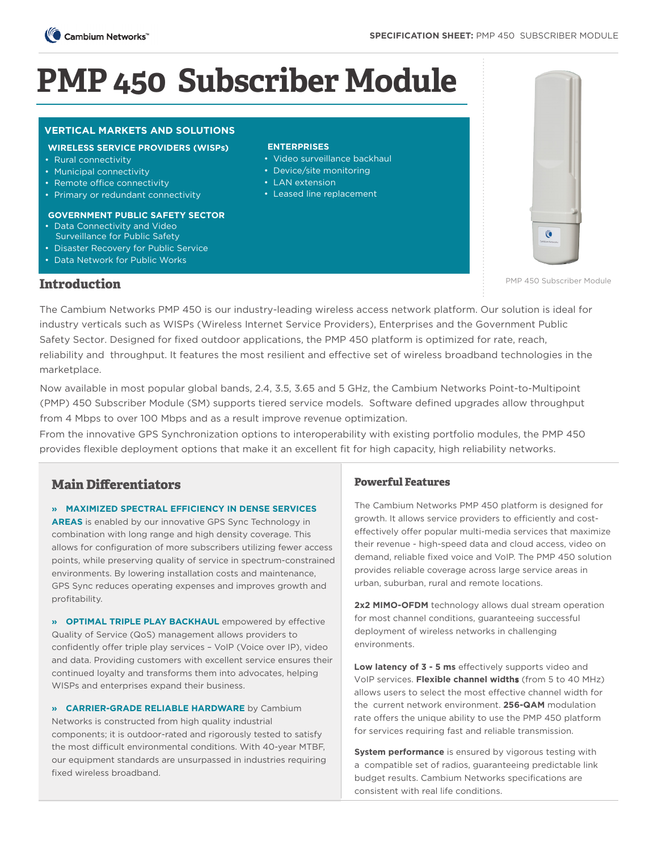

# **PMP 450 Subscriber Module**

# **VERTICAL MARKETS AND SOLUTIONS VERTICAL MARKETS AND SOLUTIONS**

### **WIRELESS SERVICE PROVIDERS (WISPs)**

- Rural connectivity
- Municipal connectivity
- Remote office connectivity
- Primary or redundant connectivity

#### **GOVERNMENT PUBLIC SAFETY SECTOR**

- Data Connectivity and Video Surveillance for Public Safety
- Disaster Recovery for Public Service
- Data Network for Public Works

### **ENTERPRISES**

- Video surveillance backhaul
- Device/site monitoring
- LAN extension
- Leased line replacement



PMP 450 Subscriber Module

# **Introduction**

The Cambium Networks PMP 450 is our industry-leading wireless access network platform. Our solution is ideal for industry verticals such as WISPs (Wireless Internet Service Providers), Enterprises and the Government Public Safety Sector. Designed for fixed outdoor applications, the PMP 450 platform is optimized for rate, reach, reliability and throughput. It features the most resilient and effective set of wireless broadband technologies in the marketplace.

Now available in most popular global bands, 2.4, 3.5, 3.65 and 5 GHz, the Cambium Networks Point-to-Multipoint (PMP) 450 Subscriber Module (SM) supports tiered service models. Software defined upgrades allow throughput from 4 Mbps to over 100 Mbps and as a result improve revenue optimization.

From the innovative GPS Synchronization options to interoperability with existing portfolio modules, the PMP 450 provides flexible deployment options that make it an excellent fit for high capacity, high reliability networks.

# **Main Differentiators**

# **» MAXIMIZED SPECTRAL EFFICIENCY IN DENSE SERVICES**

**AREAS** is enabled by our innovative GPS Sync Technology in combination with long range and high density coverage. This allows for configuration of more subscribers utilizing fewer access points, while preserving quality of service in spectrum-constrained environments. By lowering installation costs and maintenance, GPS Sync reduces operating expenses and improves growth and profitability.

**» OPTIMAL TRIPLE PLAY BACKHAUL** empowered by effective Quality of Service (QoS) management allows providers to confidently offer triple play services – VoIP (Voice over IP), video and data. Providing customers with excellent service ensures their continued loyalty and transforms them into advocates, helping WISPs and enterprises expand their business.

**» CARRIER-GRADE RELIABLE HARDWARE** by Cambium Networks is constructed from high quality industrial components; it is outdoor-rated and rigorously tested to satisfy the most difficult environmental conditions. With 40-year MTBF, our equipment standards are unsurpassed in industries requiring fixed wireless broadband.

# **Powerful Features**

The Cambium Networks PMP 450 platform is designed for growth. It allows service providers to efficiently and costeffectively offer popular multi-media services that maximize their revenue - high-speed data and cloud access, video on demand, reliable fixed voice and VoIP. The PMP 450 solution provides reliable coverage across large service areas in urban, suburban, rural and remote locations.

**2x2 MIMO-OFDM** technology allows dual stream operation for most channel conditions, guaranteeing successful deployment of wireless networks in challenging environments.

**Low latency of 3 - 5 ms** effectively supports video and VoIP services. **Flexible channel widths** (from 5 to 40 MHz) allows users to select the most effective channel width for the current network environment. **256-QAM** modulation rate offers the unique ability to use the PMP 450 platform for services requiring fast and reliable transmission.

**System performance** is ensured by vigorous testing with a compatible set of radios, guaranteeing predictable link budget results. Cambium Networks specifications are consistent with real life conditions.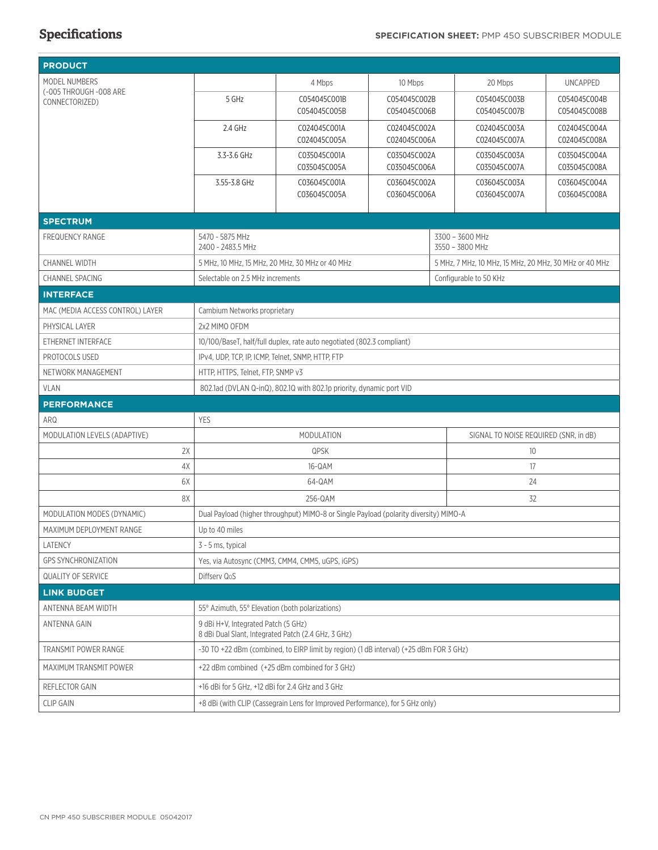| <b>PRODUCT</b>                           |                                                                                            |                              |                              |  |                                                        |                              |  |
|------------------------------------------|--------------------------------------------------------------------------------------------|------------------------------|------------------------------|--|--------------------------------------------------------|------------------------------|--|
| <b>MODEL NUMBERS</b>                     |                                                                                            | 4 Mbps                       | 10 Mbps                      |  | 20 Mbps                                                | <b>UNCAPPED</b>              |  |
| (-005 THROUGH -008 ARE<br>CONNECTORIZED) | 5 GHz                                                                                      | C054045C001B                 | C054045C002B                 |  | C054045C003B                                           | C054045C004B                 |  |
|                                          |                                                                                            | C054045C005B                 | C054045C006B                 |  | C054045C007B                                           | C054045C008B                 |  |
|                                          | 2.4 GHz                                                                                    | C024045C001A                 | C024045C002A                 |  | C024045C003A                                           | C024045C004A                 |  |
|                                          |                                                                                            | C024045C005A                 | C024045C006A                 |  | C024045C007A                                           | C024045C008A                 |  |
|                                          | 3.3-3.6 GHz                                                                                | C035045C001A<br>C035045C005A | C035045C002A<br>C035045C006A |  | C035045C003A<br>C035045C007A                           | C035045C004A<br>C035045C008A |  |
|                                          | 3.55-3.8 GHz                                                                               | C036045C001A                 | C036045C002A                 |  | C036045C003A                                           | C036045C004A                 |  |
|                                          |                                                                                            | C036045C005A                 | C036045C006A                 |  | C036045C007A                                           | C036045C008A                 |  |
|                                          |                                                                                            |                              |                              |  |                                                        |                              |  |
| <b>SPECTRUM</b>                          |                                                                                            |                              |                              |  |                                                        |                              |  |
| <b>FREQUENCY RANGE</b>                   | 5470 - 5875 MHz<br>2400 - 2483.5 MHz                                                       |                              |                              |  | 3300 - 3600 MHz<br>3550 - 3800 MHz                     |                              |  |
| <b>CHANNEL WIDTH</b>                     | 5 MHz, 10 MHz, 15 MHz, 20 MHz, 30 MHz or 40 MHz                                            |                              |                              |  | 5 MHz, 7 MHz, 10 MHz, 15 MHz, 20 MHz, 30 MHz or 40 MHz |                              |  |
| <b>CHANNEL SPACING</b>                   | Selectable on 2.5 MHz increments                                                           |                              |                              |  | Configurable to 50 KHz                                 |                              |  |
| <b>INTERFACE</b>                         |                                                                                            |                              |                              |  |                                                        |                              |  |
| MAC (MEDIA ACCESS CONTROL) LAYER         | Cambium Networks proprietary                                                               |                              |                              |  |                                                        |                              |  |
| PHYSICAL LAYER                           | 2x2 MIMO OFDM                                                                              |                              |                              |  |                                                        |                              |  |
| ETHERNET INTERFACE                       | 10/100/BaseT, half/full duplex, rate auto negotiated (802.3 compliant)                     |                              |                              |  |                                                        |                              |  |
| PROTOCOLS USED                           | IPv4, UDP, TCP, IP, ICMP, Telnet, SNMP, HTTP, FTP                                          |                              |                              |  |                                                        |                              |  |
| NETWORK MANAGEMENT                       | HTTP, HTTPS, Telnet, FTP, SNMP v3                                                          |                              |                              |  |                                                        |                              |  |
| <b>VLAN</b>                              | 802.1ad (DVLAN Q-inQ), 802.1Q with 802.1p priority, dynamic port VID                       |                              |                              |  |                                                        |                              |  |
| <b>PERFORMANCE</b>                       |                                                                                            |                              |                              |  |                                                        |                              |  |
| ARQ                                      | <b>YES</b>                                                                                 |                              |                              |  |                                                        |                              |  |
| MODULATION LEVELS (ADAPTIVE)             | <b>MODULATION</b>                                                                          |                              |                              |  | SIGNAL TO NOISE REQUIRED (SNR, in dB)                  |                              |  |
| 2X                                       | QPSK                                                                                       |                              |                              |  | 10                                                     |                              |  |
| 4X                                       | 16-QAM                                                                                     |                              |                              |  | 17                                                     |                              |  |
| 6X                                       | 64-QAM                                                                                     |                              |                              |  | 24                                                     |                              |  |
| 8X                                       | 256-QAM<br>32                                                                              |                              |                              |  |                                                        |                              |  |
| MODULATION MODES (DYNAMIC)               | Dual Payload (higher throughput) MIMO-8 or Single Payload (polarity diversity) MIMO-A      |                              |                              |  |                                                        |                              |  |
| MAXIMUM DEPLOYMENT RANGE                 | Up to 40 miles                                                                             |                              |                              |  |                                                        |                              |  |
| LATENCY                                  | 3 - 5 ms, typical                                                                          |                              |                              |  |                                                        |                              |  |
| <b>GPS SYNCHRONIZATION</b>               | Yes, via Autosync (CMM3, CMM4, CMM5, uGPS, iGPS)                                           |                              |                              |  |                                                        |                              |  |
| <b>QUALITY OF SERVICE</b>                | Diffsery QoS                                                                               |                              |                              |  |                                                        |                              |  |
| <b>LINK BUDGET</b>                       |                                                                                            |                              |                              |  |                                                        |                              |  |
| ANTENNA BEAM WIDTH                       | 55° Azimuth, 55° Elevation (both polarizations)                                            |                              |                              |  |                                                        |                              |  |
| ANTENNA GAIN                             | 9 dBi H+V, Integrated Patch (5 GHz)<br>8 dBi Dual Slant, Integrated Patch (2.4 GHz, 3 GHz) |                              |                              |  |                                                        |                              |  |
| TRANSMIT POWER RANGE                     | -30 TO +22 dBm (combined, to EIRP limit by region) (1 dB interval) (+25 dBm FOR 3 GHz)     |                              |                              |  |                                                        |                              |  |
| MAXIMUM TRANSMIT POWER                   | +22 dBm combined (+25 dBm combined for 3 GHz)                                              |                              |                              |  |                                                        |                              |  |
| REFLECTOR GAIN                           | +16 dBi for 5 GHz, +12 dBi for 2.4 GHz and 3 GHz                                           |                              |                              |  |                                                        |                              |  |
| <b>CLIP GAIN</b>                         | +8 dBi (with CLIP (Cassegrain Lens for Improved Performance), for 5 GHz only)              |                              |                              |  |                                                        |                              |  |